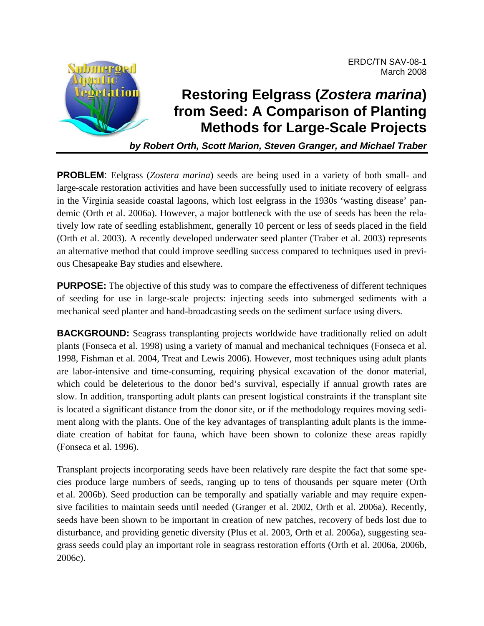

# **Restoring Eelgrass (***Zostera marina***) from Seed: A Comparison of Planting Methods for Large-Scale Projects**

ERDC/TN SAV-08-1

March 2008

*by Robert Orth, Scott Marion, Steven Granger, and Michael Traber* 

**PROBLEM**: Eelgrass (*Zostera marina*) seeds are being used in a variety of both small- and large-scale restoration activities and have been successfully used to initiate recovery of eelgrass in the Virginia seaside coastal lagoons, which lost eelgrass in the 1930s 'wasting disease' pandemic (Orth et al. 2006a). However, a major bottleneck with the use of seeds has been the relatively low rate of seedling establishment, generally 10 percent or less of seeds placed in the field (Orth et al. 2003). A recently developed underwater seed planter (Traber et al. 2003) represents an alternative method that could improve seedling success compared to techniques used in previous Chesapeake Bay studies and elsewhere.

**PURPOSE:** The objective of this study was to compare the effectiveness of different techniques of seeding for use in large-scale projects: injecting seeds into submerged sediments with a mechanical seed planter and hand-broadcasting seeds on the sediment surface using divers.

**BACKGROUND:** Seagrass transplanting projects worldwide have traditionally relied on adult plants (Fonseca et al. 1998) using a variety of manual and mechanical techniques (Fonseca et al. 1998, Fishman et al. 2004, Treat and Lewis 2006). However, most techniques using adult plants are labor-intensive and time-consuming, requiring physical excavation of the donor material, which could be deleterious to the donor bed's survival, especially if annual growth rates are slow. In addition, transporting adult plants can present logistical constraints if the transplant site is located a significant distance from the donor site, or if the methodology requires moving sediment along with the plants. One of the key advantages of transplanting adult plants is the immediate creation of habitat for fauna, which have been shown to colonize these areas rapidly (Fonseca et al. 1996).

Transplant projects incorporating seeds have been relatively rare despite the fact that some species produce large numbers of seeds, ranging up to tens of thousands per square meter (Orth et al. 2006b). Seed production can be temporally and spatially variable and may require expensive facilities to maintain seeds until needed (Granger et al. 2002, Orth et al. 2006a). Recently, seeds have been shown to be important in creation of new patches, recovery of beds lost due to disturbance, and providing genetic diversity (Plus et al. 2003, Orth et al. 2006a), suggesting seagrass seeds could play an important role in seagrass restoration efforts (Orth et al. 2006a, 2006b, 2006c).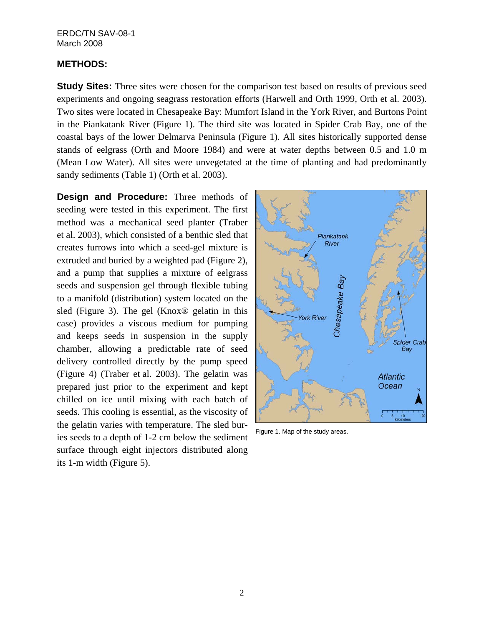## **METHODS:**

**Study Sites:** Three sites were chosen for the comparison test based on results of previous seed experiments and ongoing seagrass restoration efforts (Harwell and Orth 1999, Orth et al. 2003). Two sites were located in Chesapeake Bay: Mumfort Island in the York River, and Burtons Point in the Piankatank River (Figure 1). The third site was located in Spider Crab Bay, one of the coastal bays of the lower Delmarva Peninsula (Figure 1). All sites historically supported dense stands of eelgrass (Orth and Moore 1984) and were at water depths between 0.5 and 1.0 m (Mean Low Water). All sites were unvegetated at the time of planting and had predominantly sandy sediments (Table 1) (Orth et al. 2003).

**Design and Procedure:** Three methods of seeding were tested in this experiment. The first method was a mechanical seed planter (Traber et al. 2003), which consisted of a benthic sled that creates furrows into which a seed-gel mixture is extruded and buried by a weighted pad (Figure 2), and a pump that supplies a mixture of eelgrass seeds and suspension gel through flexible tubing to a manifold (distribution) system located on the sled (Figure 3). The gel (Knox® gelatin in this case) provides a viscous medium for pumping and keeps seeds in suspension in the supply chamber, allowing a predictable rate of seed delivery controlled directly by the pump speed (Figure 4) (Traber et al. 2003). The gelatin was prepared just prior to the experiment and kept chilled on ice until mixing with each batch of seeds. This cooling is essential, as the viscosity of the gelatin varies with temperature. The sled buries seeds to a depth of 1-2 cm below the sediment surface through eight injectors distributed along its 1-m width (Figure 5).



Figure 1. Map of the study areas.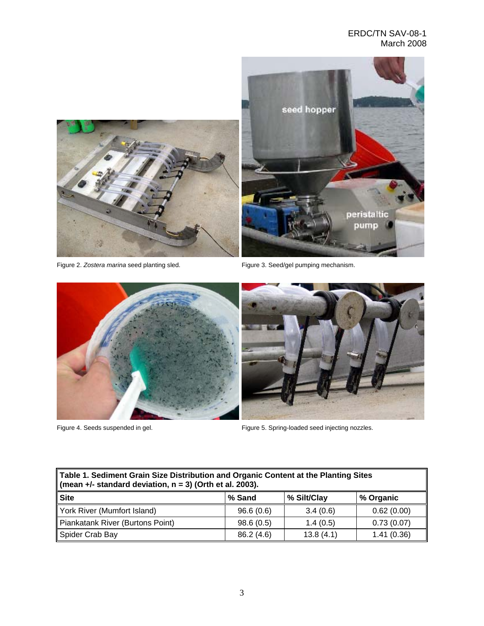

Figure 2. Zostera marina seed planting sled. Figure 3. Seed/gel pumping mechanism.



Figure 4. Seeds suspended in gel. Figure 5. Spring-loaded seed injecting nozzles.

| Table 1. Sediment Grain Size Distribution and Organic Content at the Planting Sites |  |  |  |  |  |
|-------------------------------------------------------------------------------------|--|--|--|--|--|
| (mean $+/-$ standard deviation, $n = 3$ ) (Orth et al. 2003).                       |  |  |  |  |  |
|                                                                                     |  |  |  |  |  |

| ∥Site                            | % Sand     | % Silt/Clay | % Organic  |
|----------------------------------|------------|-------------|------------|
| York River (Mumfort Island)      | 96.6(0.6)  | 3.4(0.6)    | 0.62(0.00) |
| Piankatank River (Burtons Point) | 98.6(0.5)  | 1.4(0.5)    | 0.73(0.07) |
| Spider Crab Bay                  | 86.2 (4.6) | 13.8(4.1)   | 1.41(0.36) |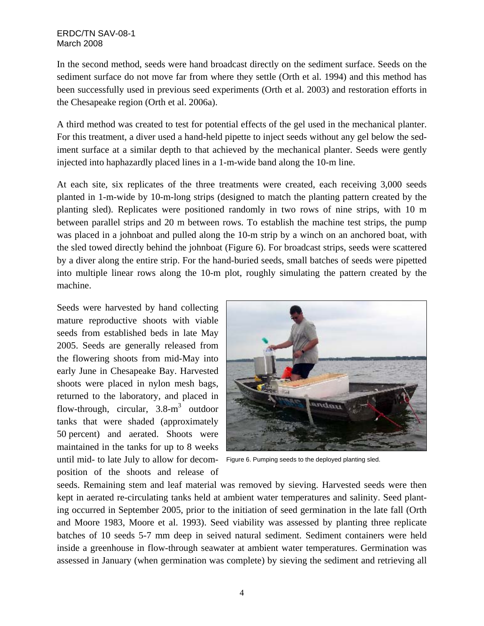In the second method, seeds were hand broadcast directly on the sediment surface. Seeds on the sediment surface do not move far from where they settle (Orth et al. 1994) and this method has been successfully used in previous seed experiments (Orth et al. 2003) and restoration efforts in the Chesapeake region (Orth et al. 2006a).

A third method was created to test for potential effects of the gel used in the mechanical planter. For this treatment, a diver used a hand-held pipette to inject seeds without any gel below the sediment surface at a similar depth to that achieved by the mechanical planter. Seeds were gently injected into haphazardly placed lines in a 1-m-wide band along the 10-m line.

At each site, six replicates of the three treatments were created, each receiving 3,000 seeds planted in 1-m-wide by 10-m-long strips (designed to match the planting pattern created by the planting sled). Replicates were positioned randomly in two rows of nine strips, with 10 m between parallel strips and 20 m between rows. To establish the machine test strips, the pump was placed in a johnboat and pulled along the 10-m strip by a winch on an anchored boat, with the sled towed directly behind the johnboat (Figure 6). For broadcast strips, seeds were scattered by a diver along the entire strip. For the hand-buried seeds, small batches of seeds were pipetted into multiple linear rows along the 10-m plot, roughly simulating the pattern created by the machine.

Seeds were harvested by hand collecting mature reproductive shoots with viable seeds from established beds in late May 2005. Seeds are generally released from the flowering shoots from mid-May into early June in Chesapeake Bay. Harvested shoots were placed in nylon mesh bags, returned to the laboratory, and placed in flow-through, circular,  $3.8 \text{--} m<sup>3</sup>$  outdoor tanks that were shaded (approximately 50 percent) and aerated. Shoots were maintained in the tanks for up to 8 weeks until mid- to late July to allow for decom- Figure 6. Pumping seeds to the deployed planting sled. position of the shoots and release of



seeds. Remaining stem and leaf material was removed by sieving. Harvested seeds were then kept in aerated re-circulating tanks held at ambient water temperatures and salinity. Seed planting occurred in September 2005, prior to the initiation of seed germination in the late fall (Orth and Moore 1983, Moore et al. 1993). Seed viability was assessed by planting three replicate batches of 10 seeds 5-7 mm deep in seived natural sediment. Sediment containers were held inside a greenhouse in flow-through seawater at ambient water temperatures. Germination was assessed in January (when germination was complete) by sieving the sediment and retrieving all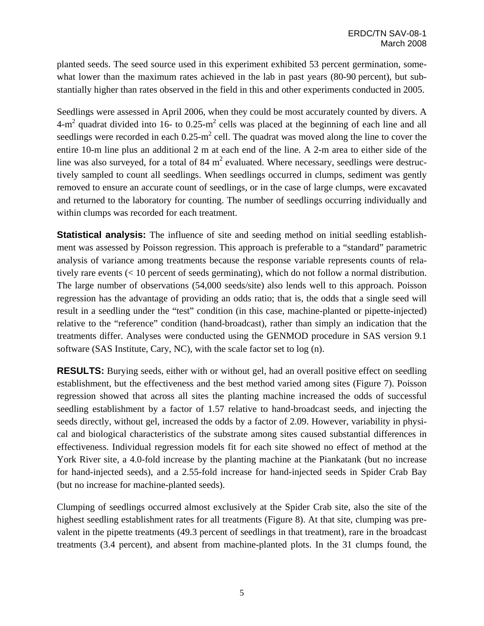planted seeds. The seed source used in this experiment exhibited 53 percent germination, somewhat lower than the maximum rates achieved in the lab in past years (80-90 percent), but substantially higher than rates observed in the field in this and other experiments conducted in 2005.

Seedlings were assessed in April 2006, when they could be most accurately counted by divers. A 4-m<sup>2</sup> quadrat divided into 16- to 0.25-m<sup>2</sup> cells was placed at the beginning of each line and all seedlings were recorded in each  $0.25 \text{ m}^2$  cell. The quadrat was moved along the line to cover the entire 10-m line plus an additional 2 m at each end of the line. A 2-m area to either side of the line was also surveyed, for a total of 84  $m^2$  evaluated. Where necessary, seedlings were destructively sampled to count all seedlings. When seedlings occurred in clumps, sediment was gently removed to ensure an accurate count of seedlings, or in the case of large clumps, were excavated and returned to the laboratory for counting. The number of seedlings occurring individually and within clumps was recorded for each treatment.

**Statistical analysis:** The influence of site and seeding method on initial seedling establishment was assessed by Poisson regression. This approach is preferable to a "standard" parametric analysis of variance among treatments because the response variable represents counts of relatively rare events (< 10 percent of seeds germinating), which do not follow a normal distribution. The large number of observations (54,000 seeds/site) also lends well to this approach. Poisson regression has the advantage of providing an odds ratio; that is, the odds that a single seed will result in a seedling under the "test" condition (in this case, machine-planted or pipette-injected) relative to the "reference" condition (hand-broadcast), rather than simply an indication that the treatments differ. Analyses were conducted using the GENMOD procedure in SAS version 9.1 software (SAS Institute, Cary, NC), with the scale factor set to log (n).

**RESULTS:** Burying seeds, either with or without gel, had an overall positive effect on seedling establishment, but the effectiveness and the best method varied among sites (Figure 7). Poisson regression showed that across all sites the planting machine increased the odds of successful seedling establishment by a factor of 1.57 relative to hand-broadcast seeds, and injecting the seeds directly, without gel, increased the odds by a factor of 2.09. However, variability in physical and biological characteristics of the substrate among sites caused substantial differences in effectiveness. Individual regression models fit for each site showed no effect of method at the York River site, a 4.0-fold increase by the planting machine at the Piankatank (but no increase for hand-injected seeds), and a 2.55-fold increase for hand-injected seeds in Spider Crab Bay (but no increase for machine-planted seeds).

Clumping of seedlings occurred almost exclusively at the Spider Crab site, also the site of the highest seedling establishment rates for all treatments (Figure 8). At that site, clumping was prevalent in the pipette treatments (49.3 percent of seedlings in that treatment), rare in the broadcast treatments (3.4 percent), and absent from machine-planted plots. In the 31 clumps found, the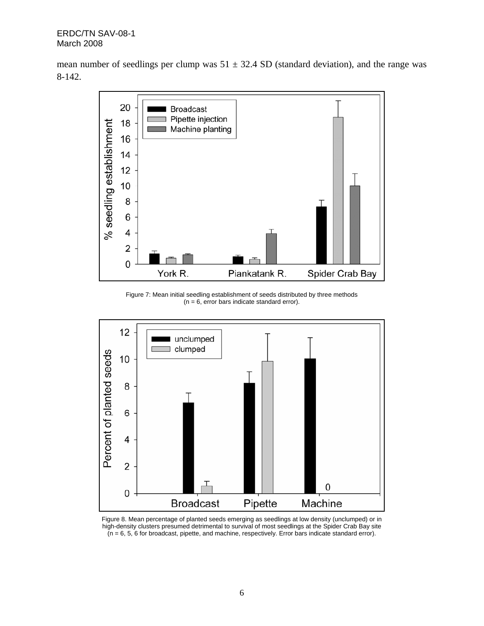mean number of seedlings per clump was  $51 \pm 32.4$  SD (standard deviation), and the range was 8-142.



Figure 7: Mean initial seedling establishment of seeds distributed by three methods  $(n = 6,$  error bars indicate standard error).



Figure 8. Mean percentage of planted seeds emerging as seedlings at low density (unclumped) or in high-density clusters presumed detrimental to survival of most seedlings at the Spider Crab Bay site  $(n = 6, 5, 6$  for broadcast, pipette, and machine, respectively. Error bars indicate standard error).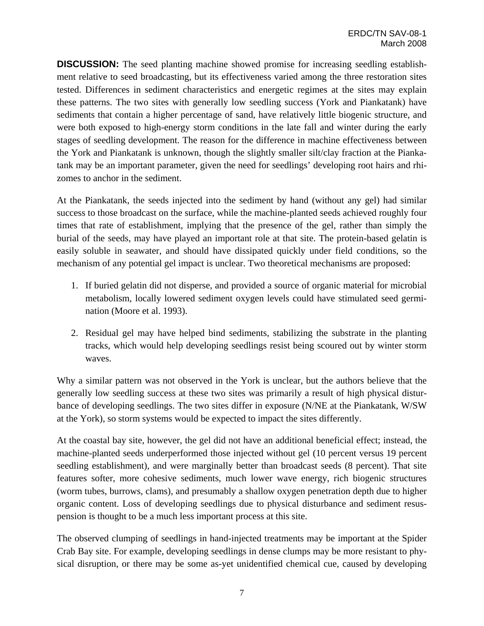**DISCUSSION:** The seed planting machine showed promise for increasing seedling establishment relative to seed broadcasting, but its effectiveness varied among the three restoration sites tested. Differences in sediment characteristics and energetic regimes at the sites may explain these patterns. The two sites with generally low seedling success (York and Piankatank) have sediments that contain a higher percentage of sand, have relatively little biogenic structure, and were both exposed to high-energy storm conditions in the late fall and winter during the early stages of seedling development. The reason for the difference in machine effectiveness between the York and Piankatank is unknown, though the slightly smaller silt/clay fraction at the Piankatank may be an important parameter, given the need for seedlings' developing root hairs and rhizomes to anchor in the sediment.

At the Piankatank, the seeds injected into the sediment by hand (without any gel) had similar success to those broadcast on the surface, while the machine-planted seeds achieved roughly four times that rate of establishment, implying that the presence of the gel, rather than simply the burial of the seeds, may have played an important role at that site. The protein-based gelatin is easily soluble in seawater, and should have dissipated quickly under field conditions, so the mechanism of any potential gel impact is unclear. Two theoretical mechanisms are proposed:

- 1. If buried gelatin did not disperse, and provided a source of organic material for microbial metabolism, locally lowered sediment oxygen levels could have stimulated seed germination (Moore et al. 1993).
- 2. Residual gel may have helped bind sediments, stabilizing the substrate in the planting tracks, which would help developing seedlings resist being scoured out by winter storm waves.

Why a similar pattern was not observed in the York is unclear, but the authors believe that the generally low seedling success at these two sites was primarily a result of high physical disturbance of developing seedlings. The two sites differ in exposure (N/NE at the Piankatank, W/SW at the York), so storm systems would be expected to impact the sites differently.

At the coastal bay site, however, the gel did not have an additional beneficial effect; instead, the machine-planted seeds underperformed those injected without gel (10 percent versus 19 percent seedling establishment), and were marginally better than broadcast seeds (8 percent). That site features softer, more cohesive sediments, much lower wave energy, rich biogenic structures (worm tubes, burrows, clams), and presumably a shallow oxygen penetration depth due to higher organic content. Loss of developing seedlings due to physical disturbance and sediment resuspension is thought to be a much less important process at this site.

The observed clumping of seedlings in hand-injected treatments may be important at the Spider Crab Bay site. For example, developing seedlings in dense clumps may be more resistant to physical disruption, or there may be some as-yet unidentified chemical cue, caused by developing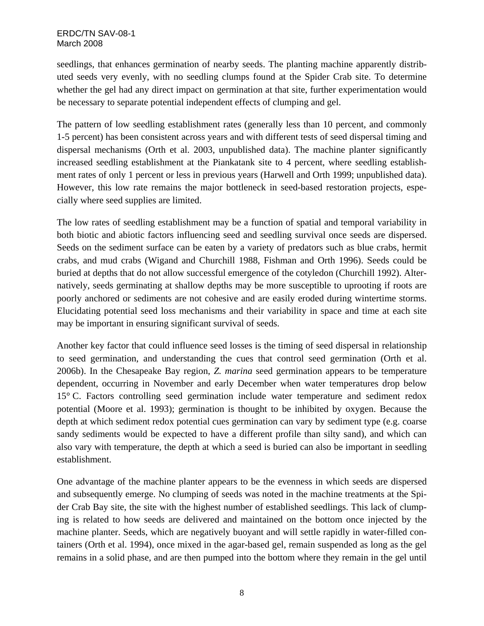seedlings, that enhances germination of nearby seeds. The planting machine apparently distributed seeds very evenly, with no seedling clumps found at the Spider Crab site. To determine whether the gel had any direct impact on germination at that site, further experimentation would be necessary to separate potential independent effects of clumping and gel.

The pattern of low seedling establishment rates (generally less than 10 percent, and commonly 1-5 percent) has been consistent across years and with different tests of seed dispersal timing and dispersal mechanisms (Orth et al. 2003, unpublished data). The machine planter significantly increased seedling establishment at the Piankatank site to 4 percent, where seedling establishment rates of only 1 percent or less in previous years (Harwell and Orth 1999; unpublished data). However, this low rate remains the major bottleneck in seed-based restoration projects, especially where seed supplies are limited.

The low rates of seedling establishment may be a function of spatial and temporal variability in both biotic and abiotic factors influencing seed and seedling survival once seeds are dispersed. Seeds on the sediment surface can be eaten by a variety of predators such as blue crabs, hermit crabs, and mud crabs (Wigand and Churchill 1988, Fishman and Orth 1996). Seeds could be buried at depths that do not allow successful emergence of the cotyledon (Churchill 1992). Alternatively, seeds germinating at shallow depths may be more susceptible to uprooting if roots are poorly anchored or sediments are not cohesive and are easily eroded during wintertime storms. Elucidating potential seed loss mechanisms and their variability in space and time at each site may be important in ensuring significant survival of seeds.

Another key factor that could influence seed losses is the timing of seed dispersal in relationship to seed germination, and understanding the cues that control seed germination (Orth et al. 2006b). In the Chesapeake Bay region, *Z. marina* seed germination appears to be temperature dependent, occurring in November and early December when water temperatures drop below 15° C. Factors controlling seed germination include water temperature and sediment redox potential (Moore et al. 1993); germination is thought to be inhibited by oxygen. Because the depth at which sediment redox potential cues germination can vary by sediment type (e.g. coarse sandy sediments would be expected to have a different profile than silty sand), and which can also vary with temperature, the depth at which a seed is buried can also be important in seedling establishment.

One advantage of the machine planter appears to be the evenness in which seeds are dispersed and subsequently emerge. No clumping of seeds was noted in the machine treatments at the Spider Crab Bay site, the site with the highest number of established seedlings. This lack of clumping is related to how seeds are delivered and maintained on the bottom once injected by the machine planter. Seeds, which are negatively buoyant and will settle rapidly in water-filled containers (Orth et al. 1994), once mixed in the agar-based gel, remain suspended as long as the gel remains in a solid phase, and are then pumped into the bottom where they remain in the gel until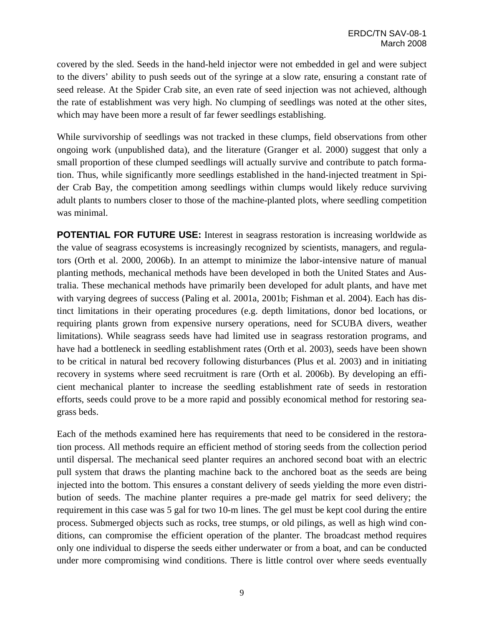covered by the sled. Seeds in the hand-held injector were not embedded in gel and were subject to the divers' ability to push seeds out of the syringe at a slow rate, ensuring a constant rate of seed release. At the Spider Crab site, an even rate of seed injection was not achieved, although the rate of establishment was very high. No clumping of seedlings was noted at the other sites, which may have been more a result of far fewer seedlings establishing.

While survivorship of seedlings was not tracked in these clumps, field observations from other ongoing work (unpublished data), and the literature (Granger et al. 2000) suggest that only a small proportion of these clumped seedlings will actually survive and contribute to patch formation. Thus, while significantly more seedlings established in the hand-injected treatment in Spider Crab Bay, the competition among seedlings within clumps would likely reduce surviving adult plants to numbers closer to those of the machine-planted plots, where seedling competition was minimal.

**POTENTIAL FOR FUTURE USE:** Interest in seagrass restoration is increasing worldwide as the value of seagrass ecosystems is increasingly recognized by scientists, managers, and regulators (Orth et al. 2000, 2006b). In an attempt to minimize the labor-intensive nature of manual planting methods, mechanical methods have been developed in both the United States and Australia. These mechanical methods have primarily been developed for adult plants, and have met with varying degrees of success (Paling et al. 2001a, 2001b; Fishman et al. 2004). Each has distinct limitations in their operating procedures (e.g. depth limitations, donor bed locations, or requiring plants grown from expensive nursery operations, need for SCUBA divers, weather limitations). While seagrass seeds have had limited use in seagrass restoration programs, and have had a bottleneck in seedling establishment rates (Orth et al. 2003), seeds have been shown to be critical in natural bed recovery following disturbances (Plus et al. 2003) and in initiating recovery in systems where seed recruitment is rare (Orth et al. 2006b). By developing an efficient mechanical planter to increase the seedling establishment rate of seeds in restoration efforts, seeds could prove to be a more rapid and possibly economical method for restoring seagrass beds.

Each of the methods examined here has requirements that need to be considered in the restoration process. All methods require an efficient method of storing seeds from the collection period until dispersal. The mechanical seed planter requires an anchored second boat with an electric pull system that draws the planting machine back to the anchored boat as the seeds are being injected into the bottom. This ensures a constant delivery of seeds yielding the more even distribution of seeds. The machine planter requires a pre-made gel matrix for seed delivery; the requirement in this case was 5 gal for two 10-m lines. The gel must be kept cool during the entire process. Submerged objects such as rocks, tree stumps, or old pilings, as well as high wind conditions, can compromise the efficient operation of the planter. The broadcast method requires only one individual to disperse the seeds either underwater or from a boat, and can be conducted under more compromising wind conditions. There is little control over where seeds eventually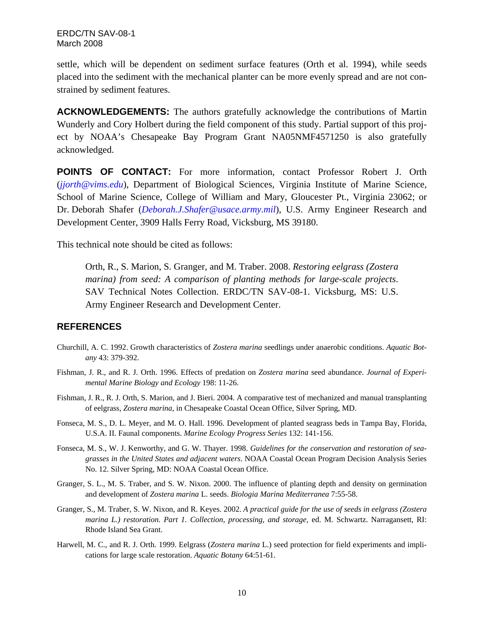settle, which will be dependent on sediment surface features (Orth et al. 1994), while seeds placed into the sediment with the mechanical planter can be more evenly spread and are not constrained by sediment features.

**ACKNOWLEDGEMENTS:** The authors gratefully acknowledge the contributions of Martin Wunderly and Cory Holbert during the field component of this study. Partial support of this project by NOAA's Chesapeake Bay Program Grant NA05NMF4571250 is also gratefully acknowledged.

**POINTS OF CONTACT:** For more information, contact Professor Robert J. Orth (*[jjorth@vims.edu](mailto:jjorth@vims.edu)*), Department of Biological Sciences, Virginia Institute of Marine Science, School of Marine Science, College of William and Mary, Gloucester Pt., Virginia 23062; or Dr. Deborah Shafer (*[Deborah.J.Shafer@usace.army.mil](mailto:Deborah.J.Shafer@usace.army.mil)*), U.S. Army Engineer Research and Development Center, 3909 Halls Ferry Road, Vicksburg, MS 39180.

This technical note should be cited as follows:

Orth, R., S. Marion, S. Granger, and M. Traber. 2008. *Restoring eelgrass (Zostera marina) from seed: A comparison of planting methods for large-scale projects*. SAV Technical Notes Collection. ERDC/TN SAV-08-1. Vicksburg, MS: U.S. Army Engineer Research and Development Center.

### **REFERENCES**

- Churchill, A. C. 1992. Growth characteristics of *Zostera marina* seedlings under anaerobic conditions. *Aquatic Botany* 43: 379-392.
- Fishman, J. R., and R. J. Orth. 1996. Effects of predation on *Zostera marina* seed abundance. *Journal of Experimental Marine Biology and Ecology* 198: 11-26.
- Fishman, J. R., R. J. Orth, S. Marion, and J. Bieri. 2004. A comparative test of mechanized and manual transplanting of eelgrass, *Zostera marina*, in Chesapeake Coastal Ocean Office, Silver Spring, MD.
- Fonseca, M. S., D. L. Meyer, and M. O. Hall. 1996. Development of planted seagrass beds in Tampa Bay, Florida, U.S.A. II. Faunal components. *Marine Ecology Progress Series* 132: 141-156.
- Fonseca, M. S., W. J. Kenworthy, and G. W. Thayer. 1998. *Guidelines for the conservation and restoration of seagrasses in the United States and adjacent waters*. NOAA Coastal Ocean Program Decision Analysis Series No. 12. Silver Spring, MD: NOAA Coastal Ocean Office.
- Granger, S. L., M. S. Traber, and S. W. Nixon. 2000. The influence of planting depth and density on germination and development of *Zostera marina* L. seeds. *Biologia Marina Mediterranea* 7:55-58.
- Granger, S., M. Traber, S. W. Nixon, and R. Keyes. 2002. *A practical guide for the use of seeds in eelgrass (Zostera marina L.) restoration. Part 1. Collection, processing, and storage,* ed. M. Schwartz. Narragansett, RI: Rhode Island Sea Grant.
- Harwell, M. C., and R. J. Orth. 1999. Eelgrass (*Zostera marina* L.) seed protection for field experiments and implications for large scale restoration. *Aquatic Botany* 64:51-61.